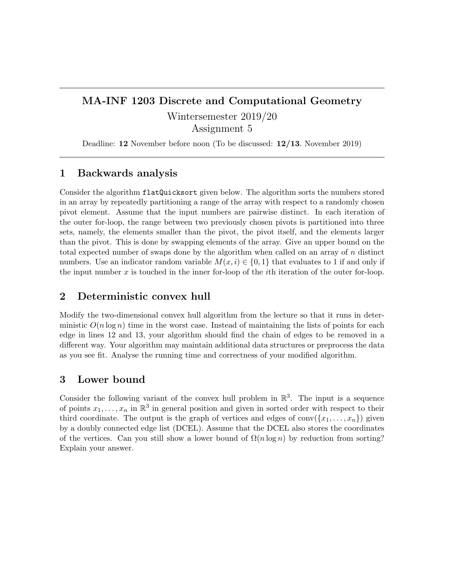## MA-INF 1203 Discrete and Computational Geometry Wintersemester 2019/20

Assignment 5

Deadline: 12 November before noon (To be discussed: 12/13. November 2019)

## 1 Backwards analysis

Consider the algorithm flatQuicksort given below. The algorithm sorts the numbers stored in an array by repeatedly partitioning a range of the array with respect to a randomly chosen pivot element. Assume that the input numbers are pairwise distinct. In each iteration of the outer for-loop, the range between two previously chosen pivots is partitioned into three sets, namely, the elements smaller than the pivot, the pivot itself, and the elements larger than the pivot. This is done by swapping elements of the array. Give an upper bound on the total expected number of swaps done by the algorithm when called on an array of n distinct numbers. Use an indicator random variable  $M(x, i) \in \{0, 1\}$  that evaluates to 1 if and only if the input number x is touched in the inner for-loop of the ith iteration of the outer for-loop.

## 2 Deterministic convex hull

Modify the two-dimensional convex hull algorithm from the lecture so that it runs in deterministic  $O(n \log n)$  time in the worst case. Instead of maintaining the lists of points for each edge in lines 12 and 13, your algorithm should find the chain of edges to be removed in a different way. Your algorithm may maintain additional data structures or preprocess the data as you see fit. Analyse the running time and correctness of your modified algorithm.

## 3 Lower bound

Consider the following variant of the convex hull problem in  $\mathbb{R}^3$ . The input is a sequence of points  $x_1, \ldots, x_n$  in  $\mathbb{R}^3$  in general position and given in sorted order with respect to their third coordinate. The output is the graph of vertices and edges of  $conv({x_1, \ldots, x_n})$  given by a doubly connected edge list (DCEL). Assume that the DCEL also stores the coordinates of the vertices. Can you still show a lower bound of  $\Omega(n \log n)$  by reduction from sorting? Explain your answer.